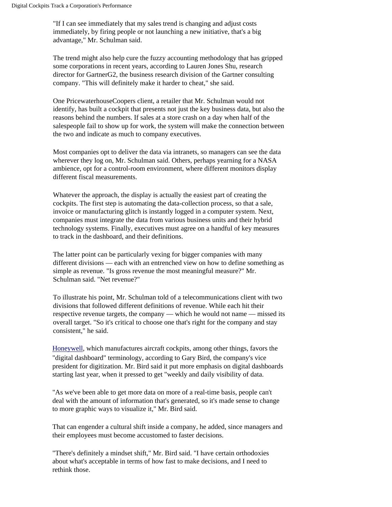"If I can see immediately that my sales trend is changing and adjust costs immediately, by firing people or not launching a new initiative, that's a big advantage," Mr. Schulman said.

The trend might also help cure the fuzzy accounting methodology that has gripped some corporations in recent years, according to Lauren Jones Shu, research director for GartnerG2, the business research division of the Gartner consulting company. "This will definitely make it harder to cheat," she said.

One PricewaterhouseCoopers client, a retailer that Mr. Schulman would not identify, has built a cockpit that presents not just the key business data, but also the reasons behind the numbers. If sales at a store crash on a day when half of the salespeople fail to show up for work, the system will make the connection between the two and indicate as much to company executives.

Most companies opt to deliver the data via intranets, so managers can see the data wherever they log on, Mr. Schulman said. Others, perhaps yearning for a NASA ambience, opt for a control-room environment, where different monitors display different fiscal measurements.

Whatever the approach, the display is actually the easiest part of creating the cockpits. The first step is automating the data-collection process, so that a sale, invoice or manufacturing glitch is instantly logged in a computer system. Next, companies must integrate the data from various business units and their hybrid technology systems. Finally, executives must agree on a handful of key measures to track in the dashboard, and their definitions.

The latter point can be particularly vexing for bigger companies with many different divisions — each with an entrenched view on how to define something as simple as revenue. "Is gross revenue the most meaningful measure?" Mr. Schulman said. "Net revenue?"

To illustrate his point, Mr. Schulman told of a telecommunications client with two divisions that followed different definitions of revenue. While each hit their respective revenue targets, the company — which he would not name — missed its overall target. "So it's critical to choose one that's right for the company and stay consistent," he said.

Honeywell, which manufactures aircraft cockpits, among other things, favors the "digital dashboard" terminology, according to Gary Bird, the company's vice president for digitization. Mr. Bird said it put more emphasis on digital dashboards starting last year, when it pressed to get "weekly and daily visibility of data.

"As we've been able to get more data on more of a real-time basis, people can't deal with the amount of information that's generated, so it's made sense to change to more graphic ways to visualize it," Mr. Bird said.

That can engender a cultural shift inside a company, he added, since managers and their employees must become accustomed to faster decisions.

"There's definitely a mindset shift," Mr. Bird said. "I have certain orthodoxies about what's acceptable in terms of how fast to make decisions, and I need to rethink those.